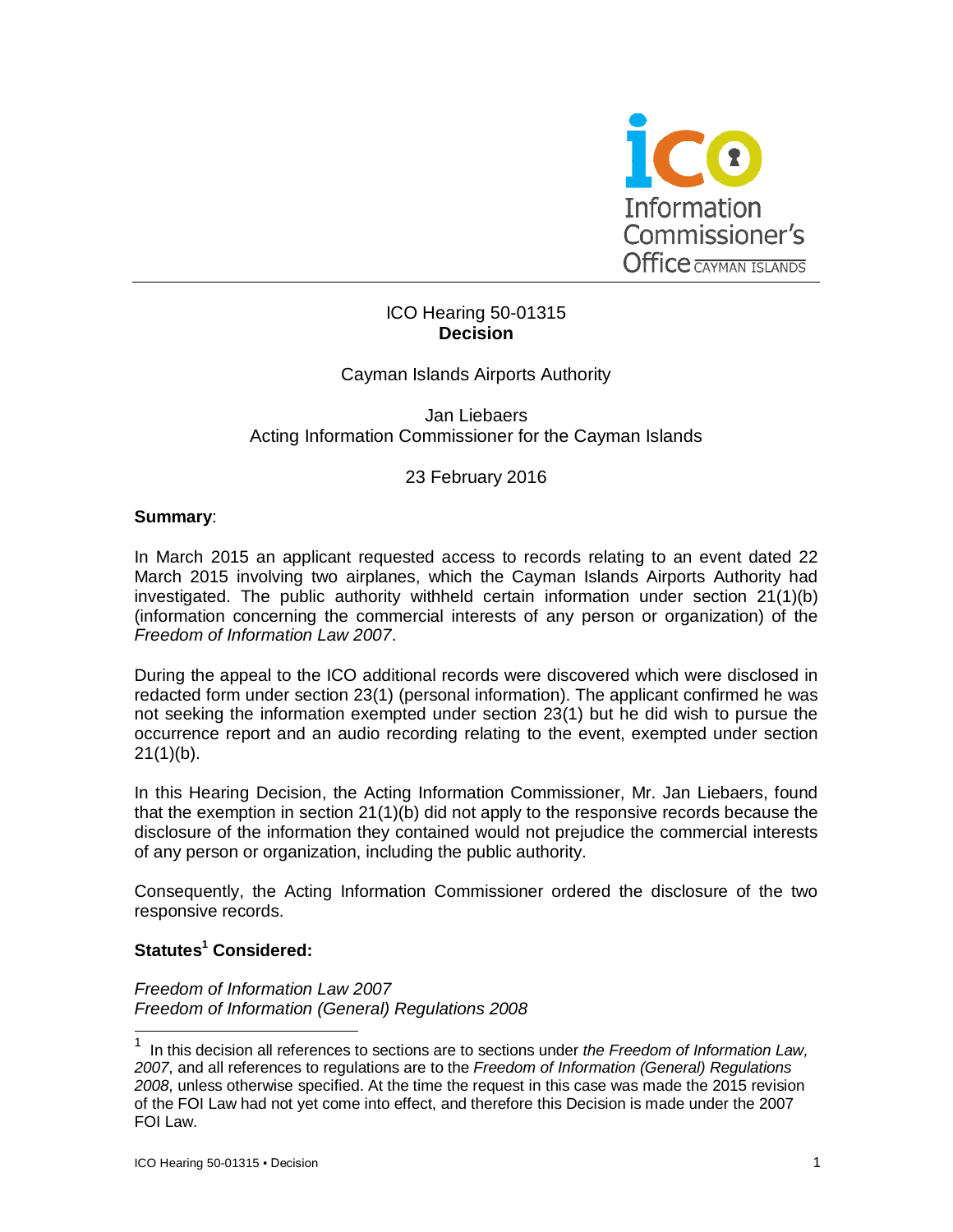

# ICO Hearing 50-01315 **Decision**

# Cayman Islands Airports Authority

Jan Liebaers Acting Information Commissioner for the Cayman Islands

# 23 February 2016

#### **Summary**:

In March 2015 an applicant requested access to records relating to an event dated 22 March 2015 involving two airplanes, which the Cayman Islands Airports Authority had investigated. The public authority withheld certain information under section 21(1)(b) (information concerning the commercial interests of any person or organization) of the *Freedom of Information Law 2007*.

During the appeal to the ICO additional records were discovered which were disclosed in redacted form under section 23(1) (personal information). The applicant confirmed he was not seeking the information exempted under section 23(1) but he did wish to pursue the occurrence report and an audio recording relating to the event, exempted under section  $21(1)(b)$ .

In this Hearing Decision, the Acting Information Commissioner, Mr. Jan Liebaers, found that the exemption in section 21(1)(b) did not apply to the responsive records because the disclosure of the information they contained would not prejudice the commercial interests of any person or organization, including the public authority.

Consequently, the Acting Information Commissioner ordered the disclosure of the two responsive records.

# **Statutes<sup>1</sup> Considered:**

-

*Freedom of Information Law 2007 Freedom of Information (General) Regulations 2008*

<sup>1</sup> In this decision all references to sections are to sections under *the Freedom of Information Law, 2007*, and all references to regulations are to the *Freedom of Information (General) Regulations 2008*, unless otherwise specified. At the time the request in this case was made the 2015 revision of the FOI Law had not yet come into effect, and therefore this Decision is made under the 2007 FOI Law.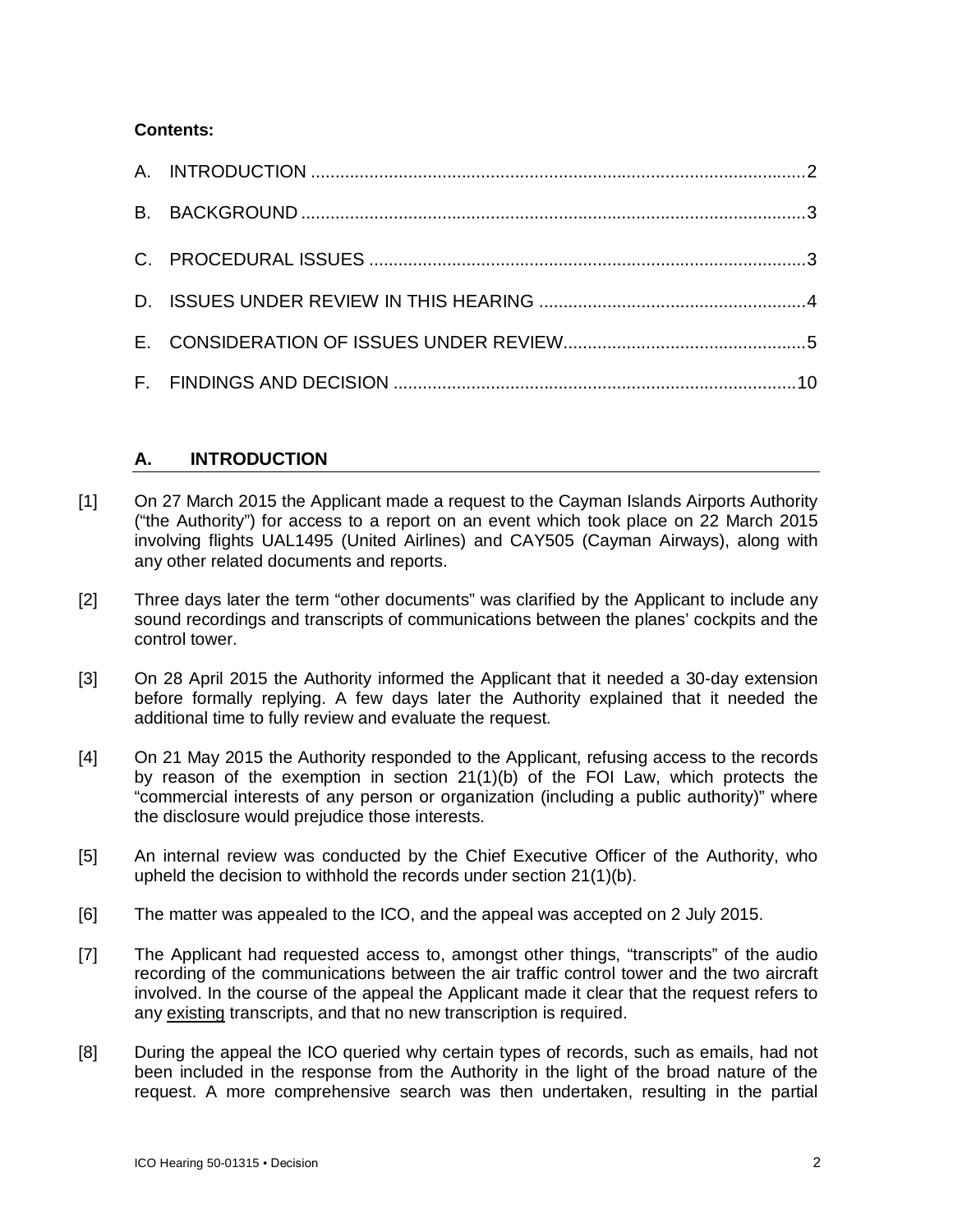# **Contents:**

# **A. INTRODUCTION**

- [1] On 27 March 2015 the Applicant made a request to the Cayman Islands Airports Authority ("the Authority") for access to a report on an event which took place on 22 March 2015 involving flights UAL1495 (United Airlines) and CAY505 (Cayman Airways), along with any other related documents and reports.
- [2] Three days later the term "other documents" was clarified by the Applicant to include any sound recordings and transcripts of communications between the planes' cockpits and the control tower.
- [3] On 28 April 2015 the Authority informed the Applicant that it needed a 30-day extension before formally replying. A few days later the Authority explained that it needed the additional time to fully review and evaluate the request.
- [4] On 21 May 2015 the Authority responded to the Applicant, refusing access to the records by reason of the exemption in section 21(1)(b) of the FOI Law, which protects the "commercial interests of any person or organization (including a public authority)" where the disclosure would prejudice those interests.
- [5] An internal review was conducted by the Chief Executive Officer of the Authority, who upheld the decision to withhold the records under section 21(1)(b).
- [6] The matter was appealed to the ICO, and the appeal was accepted on 2 July 2015.
- [7] The Applicant had requested access to, amongst other things, "transcripts" of the audio recording of the communications between the air traffic control tower and the two aircraft involved. In the course of the appeal the Applicant made it clear that the request refers to any existing transcripts, and that no new transcription is required.
- [8] During the appeal the ICO queried why certain types of records, such as emails, had not been included in the response from the Authority in the light of the broad nature of the request. A more comprehensive search was then undertaken, resulting in the partial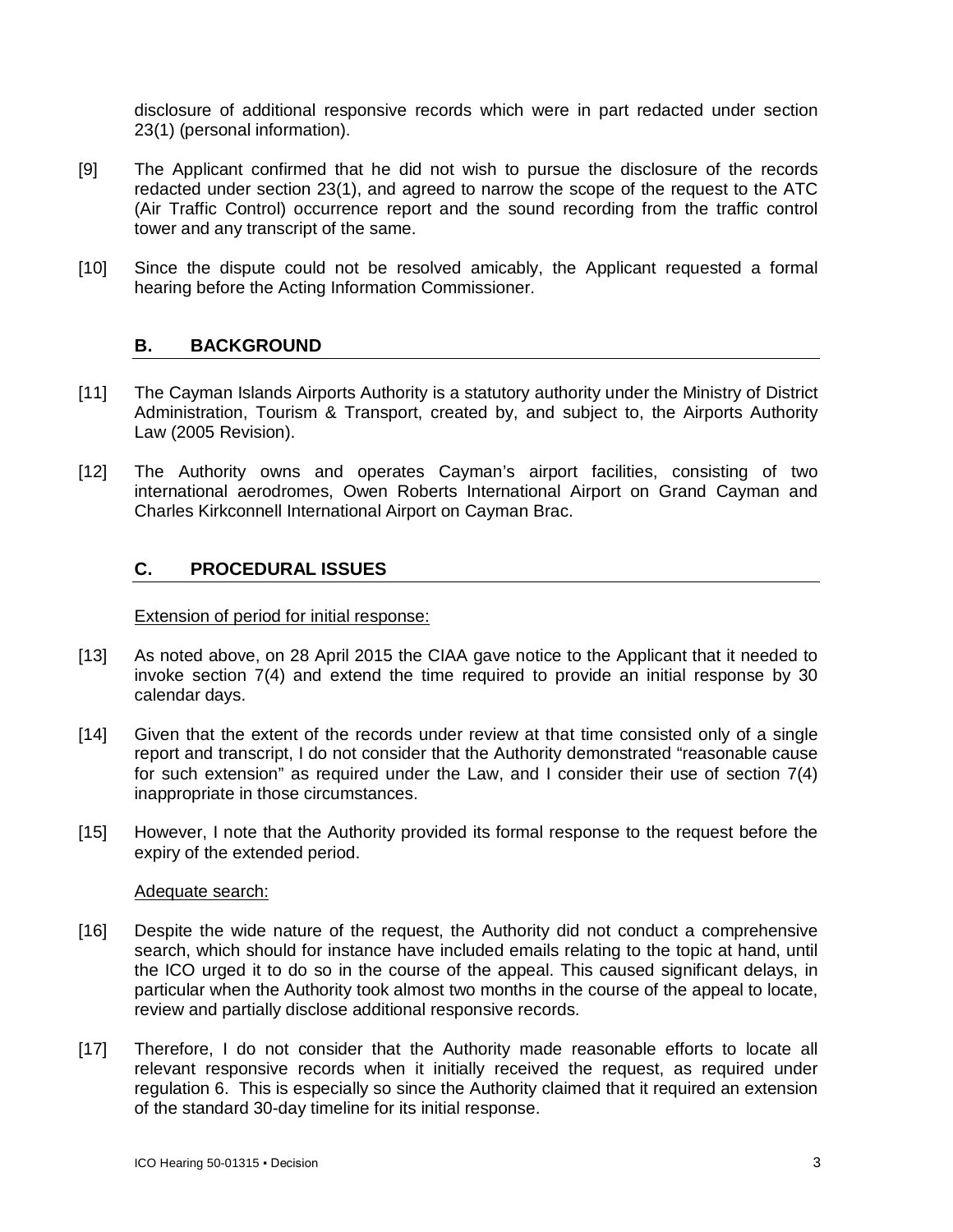disclosure of additional responsive records which were in part redacted under section 23(1) (personal information).

- [9] The Applicant confirmed that he did not wish to pursue the disclosure of the records redacted under section 23(1), and agreed to narrow the scope of the request to the ATC (Air Traffic Control) occurrence report and the sound recording from the traffic control tower and any transcript of the same.
- [10] Since the dispute could not be resolved amicably, the Applicant requested a formal hearing before the Acting Information Commissioner.

# **B. BACKGROUND**

- [11] The Cayman Islands Airports Authority is a statutory authority under the Ministry of District Administration, Tourism & Transport, created by, and subject to, the Airports Authority Law (2005 Revision).
- [12] The Authority owns and operates Cayman's airport facilities, consisting of two international aerodromes, Owen Roberts International Airport on Grand Cayman and Charles Kirkconnell International Airport on Cayman Brac.

# **C. PROCEDURAL ISSUES**

### Extension of period for initial response:

- [13] As noted above, on 28 April 2015 the CIAA gave notice to the Applicant that it needed to invoke section 7(4) and extend the time required to provide an initial response by 30 calendar days.
- [14] Given that the extent of the records under review at that time consisted only of a single report and transcript, I do not consider that the Authority demonstrated "reasonable cause for such extension" as required under the Law, and I consider their use of section 7(4) inappropriate in those circumstances.
- [15] However, I note that the Authority provided its formal response to the request before the expiry of the extended period.

#### Adequate search:

- [16] Despite the wide nature of the request, the Authority did not conduct a comprehensive search, which should for instance have included emails relating to the topic at hand, until the ICO urged it to do so in the course of the appeal. This caused significant delays, in particular when the Authority took almost two months in the course of the appeal to locate, review and partially disclose additional responsive records.
- [17] Therefore, I do not consider that the Authority made reasonable efforts to locate all relevant responsive records when it initially received the request, as required under regulation 6. This is especially so since the Authority claimed that it required an extension of the standard 30-day timeline for its initial response.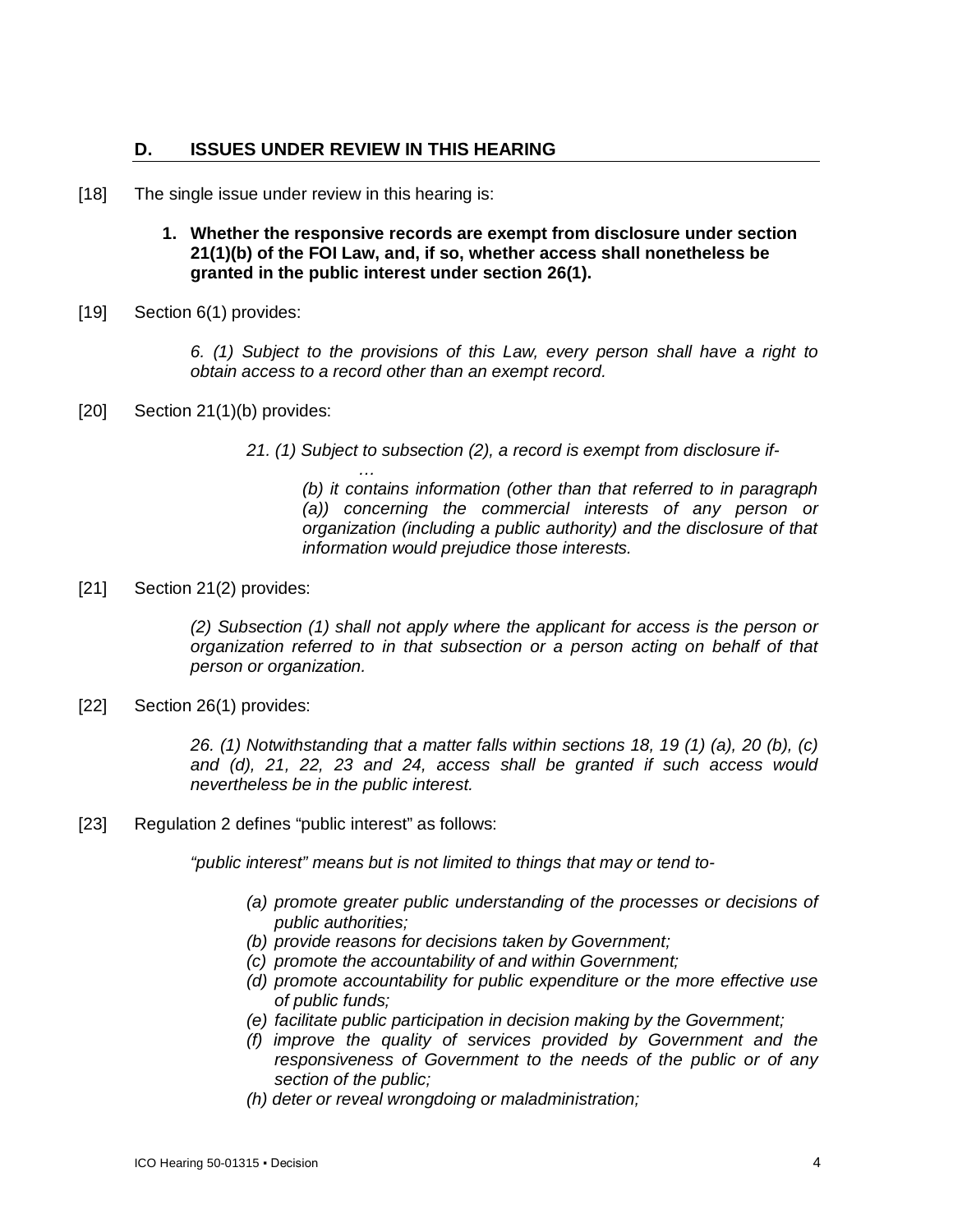# **D. ISSUES UNDER REVIEW IN THIS HEARING**

- [18] The single issue under review in this hearing is:
	- **1. Whether the responsive records are exempt from disclosure under section 21(1)(b) of the FOI Law, and, if so, whether access shall nonetheless be granted in the public interest under section 26(1).**
- [19] Section 6(1) provides:

*6. (1) Subject to the provisions of this Law, every person shall have a right to obtain access to a record other than an exempt record.*

[20] Section 21(1)(b) provides:

*21. (1) Subject to subsection (2), a record is exempt from disclosure if-*

*… (b) it contains information (other than that referred to in paragraph (a)) concerning the commercial interests of any person or organization (including a public authority) and the disclosure of that information would prejudice those interests.*

[21] Section 21(2) provides:

*(2) Subsection (1) shall not apply where the applicant for access is the person or organization referred to in that subsection or a person acting on behalf of that person or organization.*

[22] Section 26(1) provides:

*26. (1) Notwithstanding that a matter falls within sections 18, 19 (1) (a), 20 (b), (c) and (d), 21, 22, 23 and 24, access shall be granted if such access would nevertheless be in the public interest.*

[23] Regulation 2 defines "public interest" as follows:

*"public interest" means but is not limited to things that may or tend to-*

- *(a) promote greater public understanding of the processes or decisions of public authorities;*
- *(b) provide reasons for decisions taken by Government;*
- *(c) promote the accountability of and within Government;*
- *(d) promote accountability for public expenditure or the more effective use of public funds;*
- *(e) facilitate public participation in decision making by the Government;*
- *(f) improve the quality of services provided by Government and the responsiveness of Government to the needs of the public or of any section of the public;*
- *(h) deter or reveal wrongdoing or maladministration;*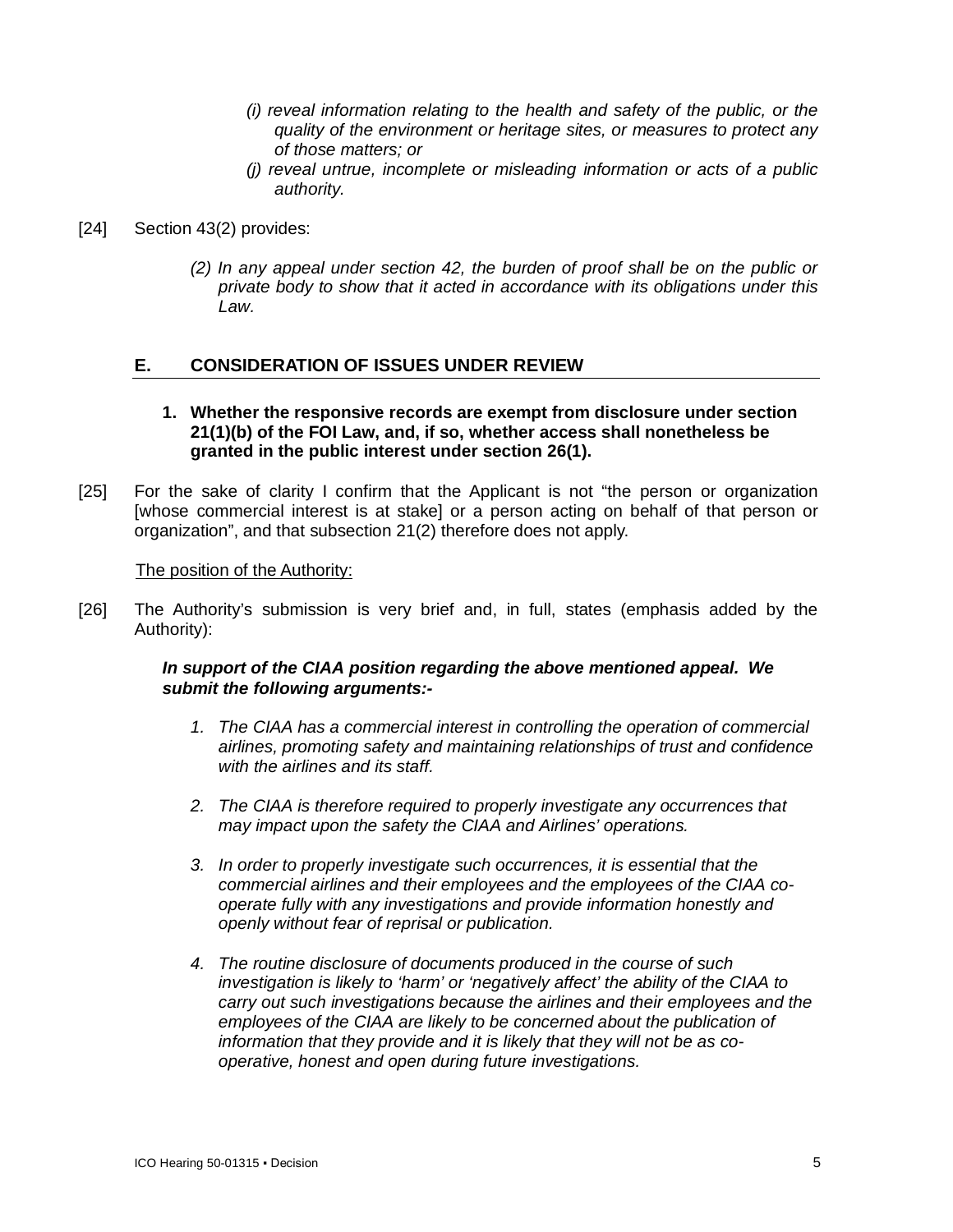- *(i) reveal information relating to the health and safety of the public, or the quality of the environment or heritage sites, or measures to protect any of those matters; or*
- *(j) reveal untrue, incomplete or misleading information or acts of a public authority.*
- [24] Section 43(2) provides:
	- *(2) In any appeal under section 42, the burden of proof shall be on the public or private body to show that it acted in accordance with its obligations under this Law.*

### **E. CONSIDERATION OF ISSUES UNDER REVIEW**

- **1. Whether the responsive records are exempt from disclosure under section 21(1)(b) of the FOI Law, and, if so, whether access shall nonetheless be granted in the public interest under section 26(1).**
- [25] For the sake of clarity I confirm that the Applicant is not "the person or organization [whose commercial interest is at stake] or a person acting on behalf of that person or organization", and that subsection 21(2) therefore does not apply.

#### The position of the Authority:

[26] The Authority's submission is very brief and, in full, states (emphasis added by the Authority):

### *In support of the CIAA position regarding the above mentioned appeal. We submit the following arguments:-*

- *1. The CIAA has a commercial interest in controlling the operation of commercial airlines, promoting safety and maintaining relationships of trust and confidence with the airlines and its staff.*
- *2. The CIAA is therefore required to properly investigate any occurrences that may impact upon the safety the CIAA and Airlines' operations.*
- *3. In order to properly investigate such occurrences, it is essential that the commercial airlines and their employees and the employees of the CIAA cooperate fully with any investigations and provide information honestly and openly without fear of reprisal or publication.*
- *4. The routine disclosure of documents produced in the course of such investigation is likely to 'harm' or 'negatively affect' the ability of the CIAA to carry out such investigations because the airlines and their employees and the*  employees of the CIAA are likely to be concerned about the publication of *information that they provide and it is likely that they will not be as cooperative, honest and open during future investigations.*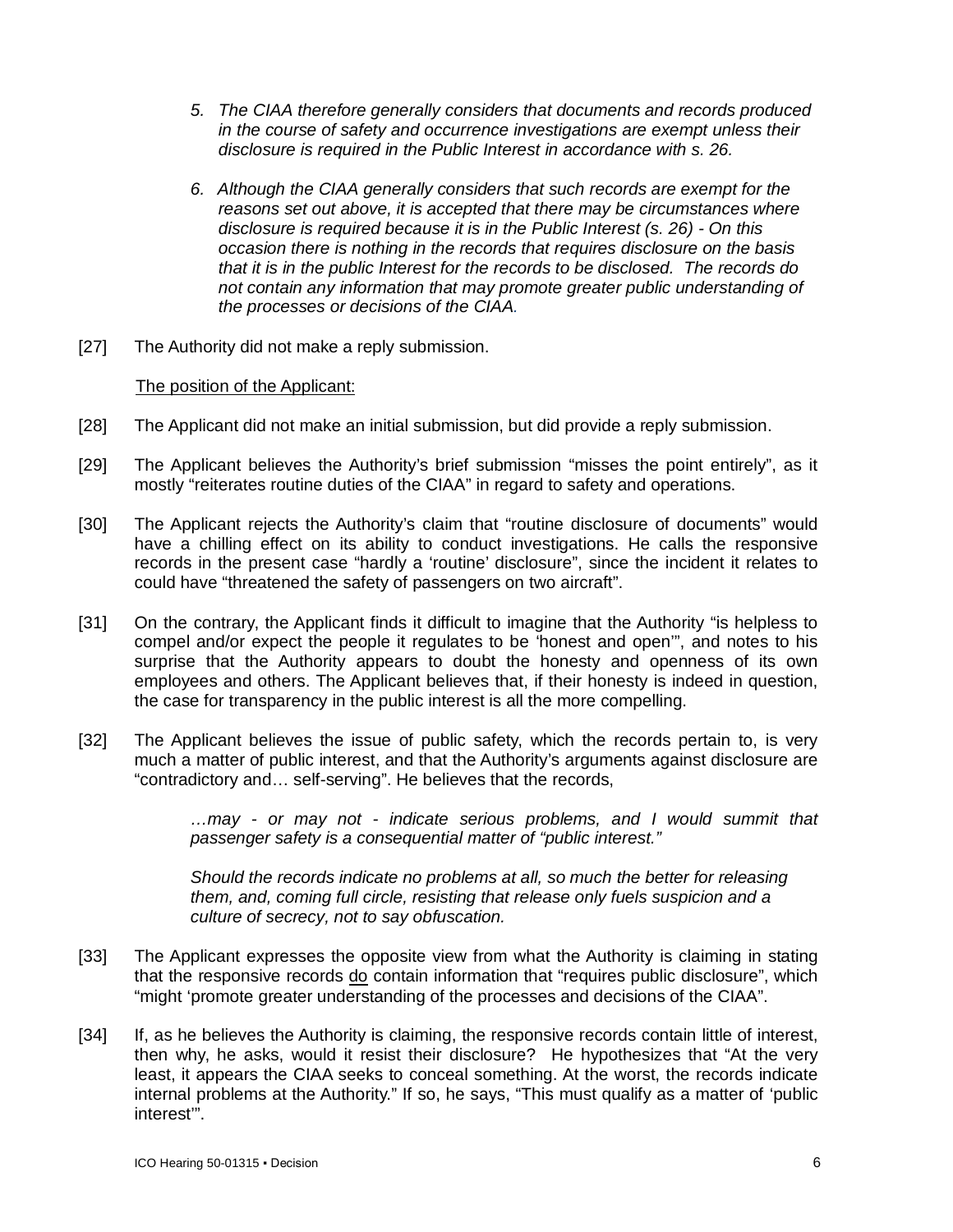- *5. The CIAA therefore generally considers that documents and records produced in the course of safety and occurrence investigations are exempt unless their disclosure is required in the Public Interest in accordance with s. 26.*
- *6. Although the CIAA generally considers that such records are exempt for the*  reasons set out above, it is accepted that there may be circumstances where *disclosure is required because it is in the Public Interest (s. 26) - On this occasion there is nothing in the records that requires disclosure on the basis that it is in the public Interest for the records to be disclosed. The records do not contain any information that may promote greater public understanding of the processes or decisions of the CIAA.*
- [27] The Authority did not make a reply submission.

### The position of the Applicant:

- [28] The Applicant did not make an initial submission, but did provide a reply submission.
- [29] The Applicant believes the Authority's brief submission "misses the point entirely", as it mostly "reiterates routine duties of the CIAA" in regard to safety and operations.
- [30] The Applicant rejects the Authority's claim that "routine disclosure of documents" would have a chilling effect on its ability to conduct investigations. He calls the responsive records in the present case "hardly a 'routine' disclosure", since the incident it relates to could have "threatened the safety of passengers on two aircraft".
- [31] On the contrary, the Applicant finds it difficult to imagine that the Authority "is helpless to compel and/or expect the people it regulates to be 'honest and open'", and notes to his surprise that the Authority appears to doubt the honesty and openness of its own employees and others. The Applicant believes that, if their honesty is indeed in question, the case for transparency in the public interest is all the more compelling.
- [32] The Applicant believes the issue of public safety, which the records pertain to, is very much a matter of public interest, and that the Authority's arguments against disclosure are "contradictory and… self-serving". He believes that the records,

*…may - or may not - indicate serious problems, and I would summit that passenger safety is a consequential matter of "public interest."*

*Should the records indicate no problems at all, so much the better for releasing them, and, coming full circle, resisting that release only fuels suspicion and a culture of secrecy, not to say obfuscation.*

- [33] The Applicant expresses the opposite view from what the Authority is claiming in stating that the responsive records do contain information that "requires public disclosure", which "might 'promote greater understanding of the processes and decisions of the CIAA".
- [34] If, as he believes the Authority is claiming, the responsive records contain little of interest, then why, he asks, would it resist their disclosure? He hypothesizes that "At the very least, it appears the CIAA seeks to conceal something. At the worst, the records indicate internal problems at the Authority." If so, he says, "This must qualify as a matter of 'public interest'".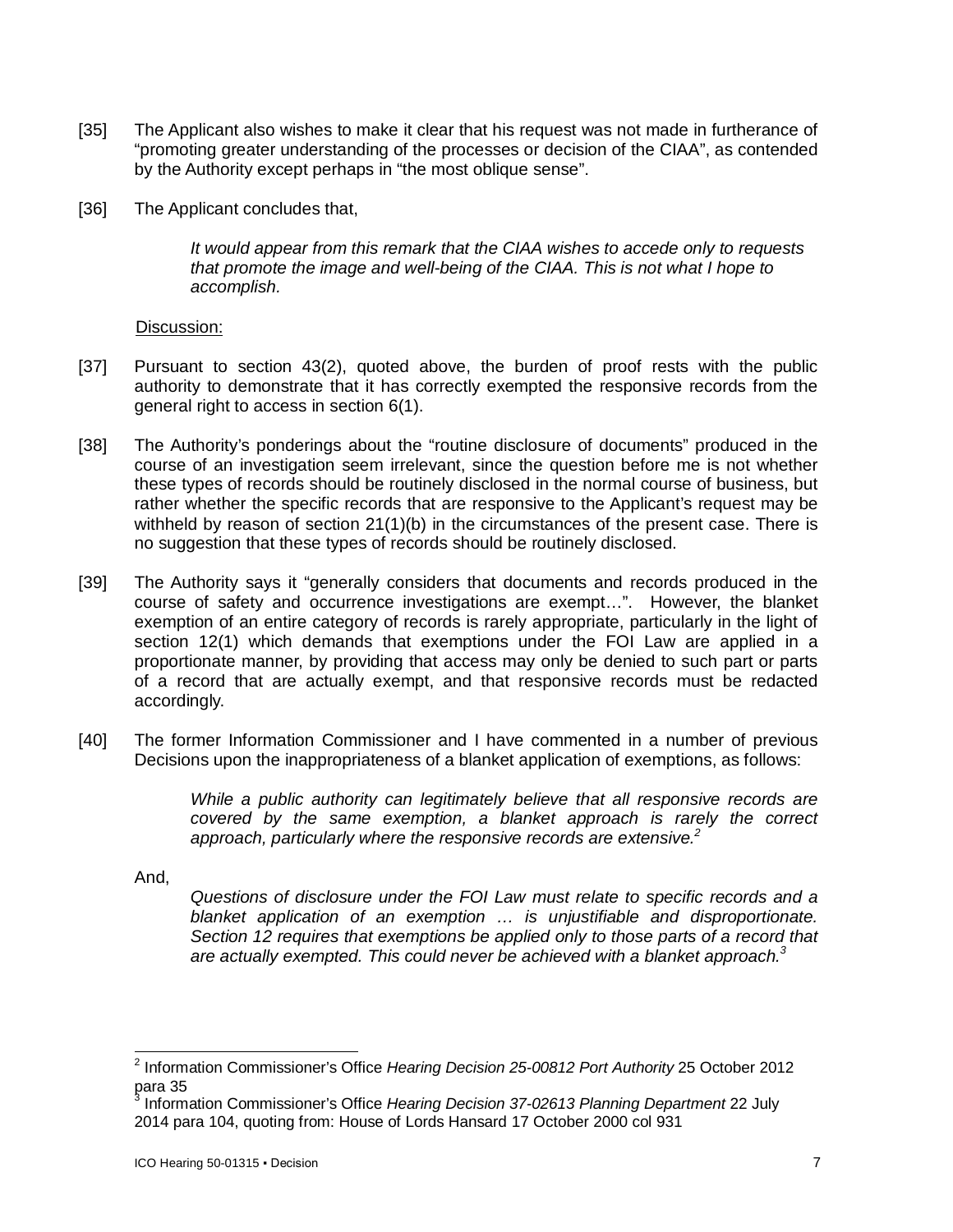- [35] The Applicant also wishes to make it clear that his request was not made in furtherance of "promoting greater understanding of the processes or decision of the CIAA", as contended by the Authority except perhaps in "the most oblique sense".
- [36] The Applicant concludes that,

*It would appear from this remark that the CIAA wishes to accede only to requests that promote the image and well-being of the CIAA. This is not what I hope to accomplish.*

Discussion:

- [37] Pursuant to section 43(2), quoted above, the burden of proof rests with the public authority to demonstrate that it has correctly exempted the responsive records from the general right to access in section 6(1).
- [38] The Authority's ponderings about the "routine disclosure of documents" produced in the course of an investigation seem irrelevant, since the question before me is not whether these types of records should be routinely disclosed in the normal course of business, but rather whether the specific records that are responsive to the Applicant's request may be withheld by reason of section  $21(1)(b)$  in the circumstances of the present case. There is no suggestion that these types of records should be routinely disclosed.
- [39] The Authority says it "generally considers that documents and records produced in the course of safety and occurrence investigations are exempt…". However, the blanket exemption of an entire category of records is rarely appropriate, particularly in the light of section 12(1) which demands that exemptions under the FOI Law are applied in a proportionate manner, by providing that access may only be denied to such part or parts of a record that are actually exempt, and that responsive records must be redacted accordingly.
- [40] The former Information Commissioner and I have commented in a number of previous Decisions upon the inappropriateness of a blanket application of exemptions, as follows:

*While a public authority can legitimately believe that all responsive records are covered by the same exemption, a blanket approach is rarely the correct approach, particularly where the responsive records are extensive.<sup>2</sup>*

And,

*Questions of disclosure under the FOI Law must relate to specific records and a blanket application of an exemption … is unjustifiable and disproportionate. Section 12 requires that exemptions be applied only to those parts of a record that are actually exempted. This could never be achieved with a blanket approach.<sup>3</sup>*

 2 Information Commissioner's Office *Hearing Decision 25-00812 Port Authority* 25 October 2012 para 35<br><sup>3</sup> Inform

Information Commissioner's Office *Hearing Decision 37-02613 Planning Department* 22 July 2014 para 104, quoting from: House of Lords Hansard 17 October 2000 col 931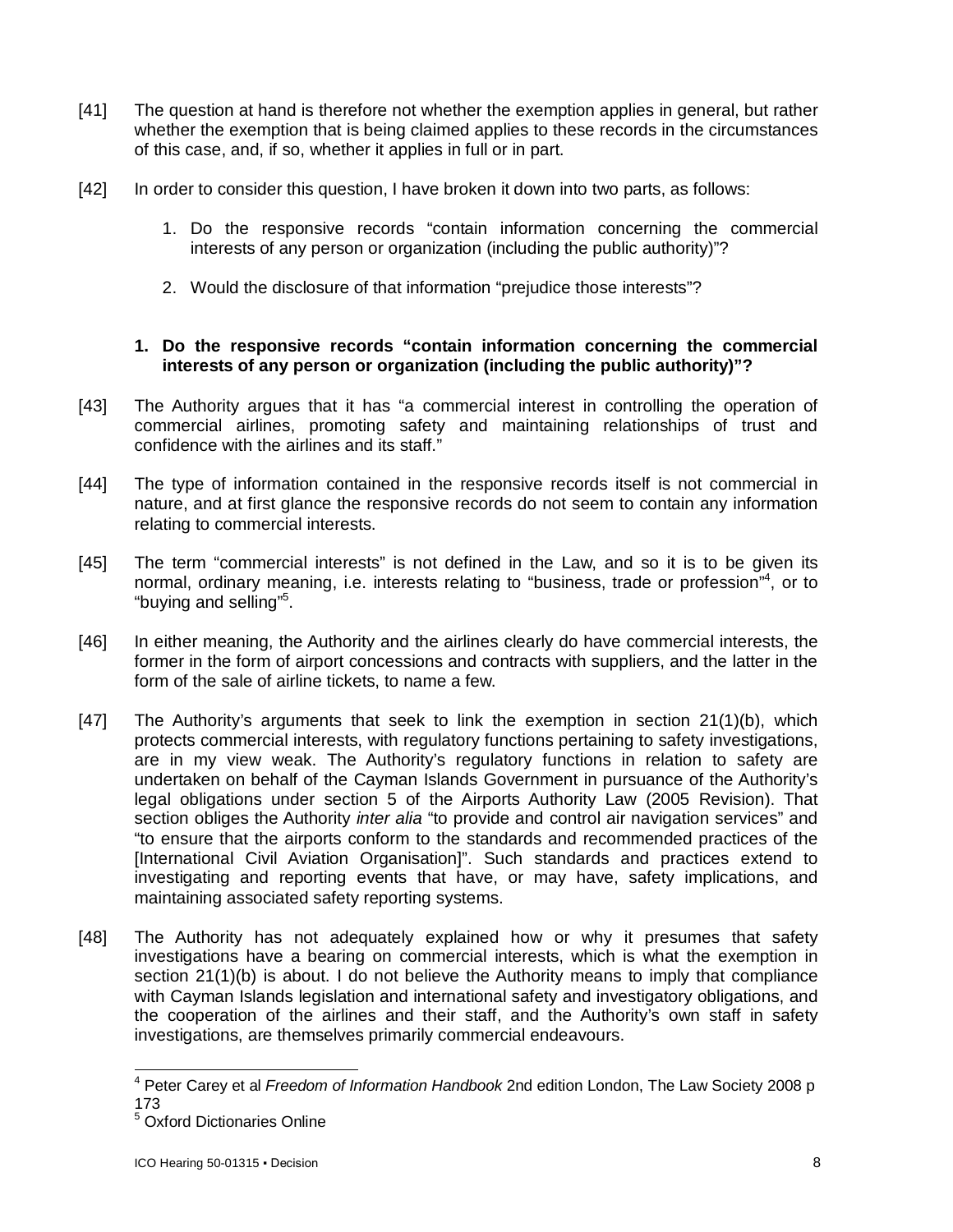- [41] The question at hand is therefore not whether the exemption applies in general, but rather whether the exemption that is being claimed applies to these records in the circumstances of this case, and, if so, whether it applies in full or in part.
- [42] In order to consider this question, I have broken it down into two parts, as follows:
	- 1. Do the responsive records "contain information concerning the commercial interests of any person or organization (including the public authority)"?
	- 2. Would the disclosure of that information "prejudice those interests"?

# **1. Do the responsive records "contain information concerning the commercial interests of any person or organization (including the public authority)"?**

- [43] The Authority argues that it has "a commercial interest in controlling the operation of commercial airlines, promoting safety and maintaining relationships of trust and confidence with the airlines and its staff."
- [44] The type of information contained in the responsive records itself is not commercial in nature, and at first glance the responsive records do not seem to contain any information relating to commercial interests.
- [45] The term "commercial interests" is not defined in the Law, and so it is to be given its normal, ordinary meaning, i.e. interests relating to "business, trade or profession"<sup>4</sup>, or to "buying and selling"<sup>5</sup>.
- [46] In either meaning, the Authority and the airlines clearly do have commercial interests, the former in the form of airport concessions and contracts with suppliers, and the latter in the form of the sale of airline tickets, to name a few.
- [47] The Authority's arguments that seek to link the exemption in section 21(1)(b), which protects commercial interests, with regulatory functions pertaining to safety investigations, are in my view weak. The Authority's regulatory functions in relation to safety are undertaken on behalf of the Cayman Islands Government in pursuance of the Authority's legal obligations under section 5 of the Airports Authority Law (2005 Revision). That section obliges the Authority *inter alia* "to provide and control air navigation services" and "to ensure that the airports conform to the standards and recommended practices of the [International Civil Aviation Organisation]". Such standards and practices extend to investigating and reporting events that have, or may have, safety implications, and maintaining associated safety reporting systems.
- [48] The Authority has not adequately explained how or why it presumes that safety investigations have a bearing on commercial interests, which is what the exemption in section 21(1)(b) is about. I do not believe the Authority means to imply that compliance with Cayman Islands legislation and international safety and investigatory obligations, and the cooperation of the airlines and their staff, and the Authority's own staff in safety investigations, are themselves primarily commercial endeavours.

 $\overline{\phantom{a}}$ <sup>4</sup> Peter Carey et al *Freedom of Information Handbook* 2nd edition London, The Law Society 2008 p 173

<sup>5</sup> Oxford Dictionaries Online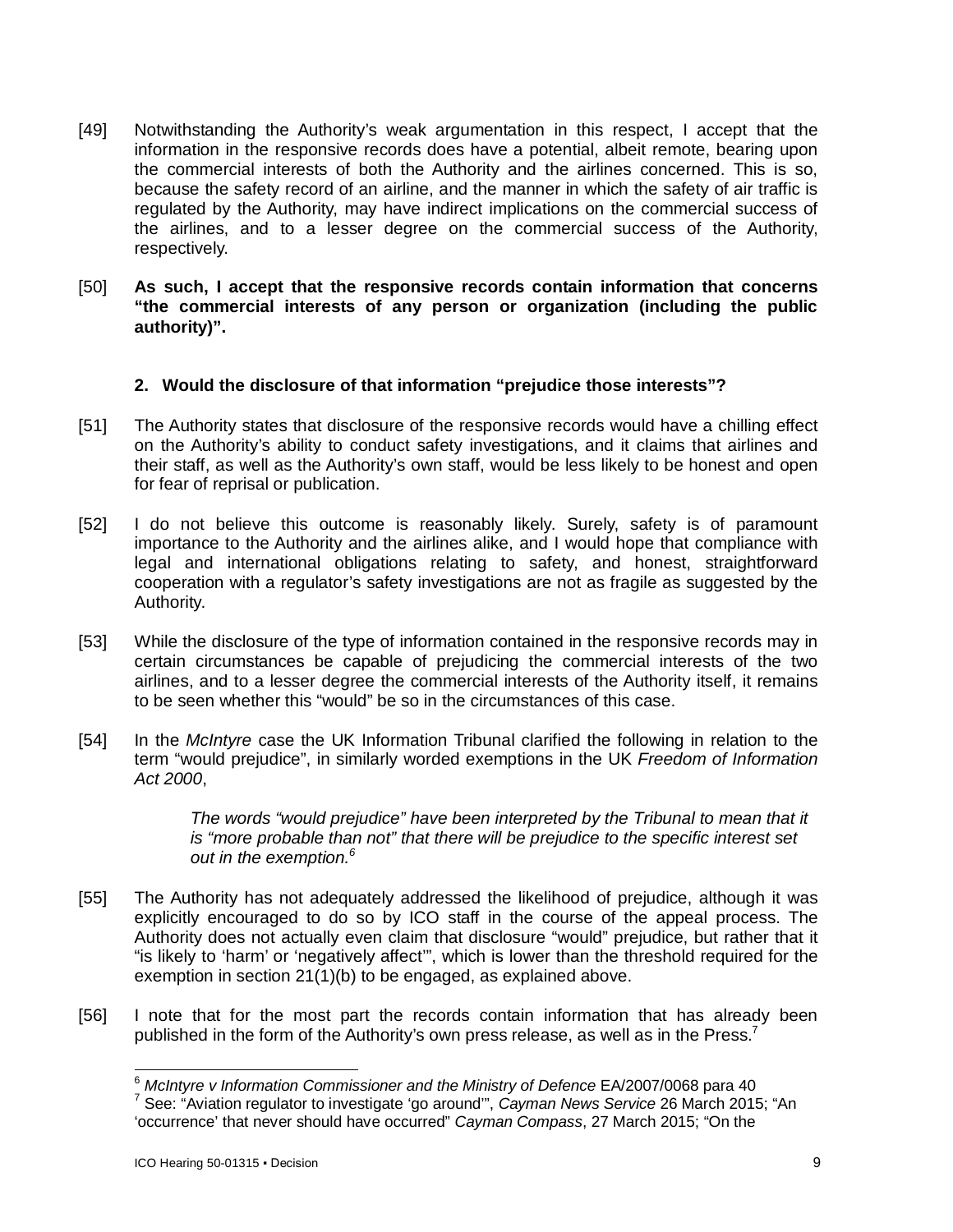- [49] Notwithstanding the Authority's weak argumentation in this respect, I accept that the information in the responsive records does have a potential, albeit remote, bearing upon the commercial interests of both the Authority and the airlines concerned. This is so, because the safety record of an airline, and the manner in which the safety of air traffic is regulated by the Authority, may have indirect implications on the commercial success of the airlines, and to a lesser degree on the commercial success of the Authority, respectively.
- [50] **As such, I accept that the responsive records contain information that concerns "the commercial interests of any person or organization (including the public authority)".**

### **2. Would the disclosure of that information "prejudice those interests"?**

- [51] The Authority states that disclosure of the responsive records would have a chilling effect on the Authority's ability to conduct safety investigations, and it claims that airlines and their staff, as well as the Authority's own staff, would be less likely to be honest and open for fear of reprisal or publication.
- [52] I do not believe this outcome is reasonably likely. Surely, safety is of paramount importance to the Authority and the airlines alike, and I would hope that compliance with legal and international obligations relating to safety, and honest, straightforward cooperation with a regulator's safety investigations are not as fragile as suggested by the Authority.
- [53] While the disclosure of the type of information contained in the responsive records may in certain circumstances be capable of prejudicing the commercial interests of the two airlines, and to a lesser degree the commercial interests of the Authority itself, it remains to be seen whether this "would" be so in the circumstances of this case.
- [54] In the *McIntyre* case the UK Information Tribunal clarified the following in relation to the term "would prejudice", in similarly worded exemptions in the UK *Freedom of Information Act 2000*,

*The words "would prejudice" have been interpreted by the Tribunal to mean that it is "more probable than not" that there will be prejudice to the specific interest set out in the exemption.<sup>6</sup>*

- [55] The Authority has not adequately addressed the likelihood of prejudice, although it was explicitly encouraged to do so by ICO staff in the course of the appeal process. The Authority does not actually even claim that disclosure "would" prejudice, but rather that it "is likely to 'harm' or 'negatively affect'", which is lower than the threshold required for the exemption in section 21(1)(b) to be engaged, as explained above.
- [56] I note that for the most part the records contain information that has already been published in the form of the Authority's own press release, as well as in the Press.<sup>7</sup>

 $\overline{a}$ 

<sup>6</sup> *McIntyre v Information Commissioner and the Ministry of Defence* EA/2007/0068 para 40

<sup>7</sup> See: "Aviation regulator to investigate 'go around'", *Cayman News Service* 26 March 2015; "An 'occurrence' that never should have occurred" *Cayman Compass*, 27 March 2015; "On the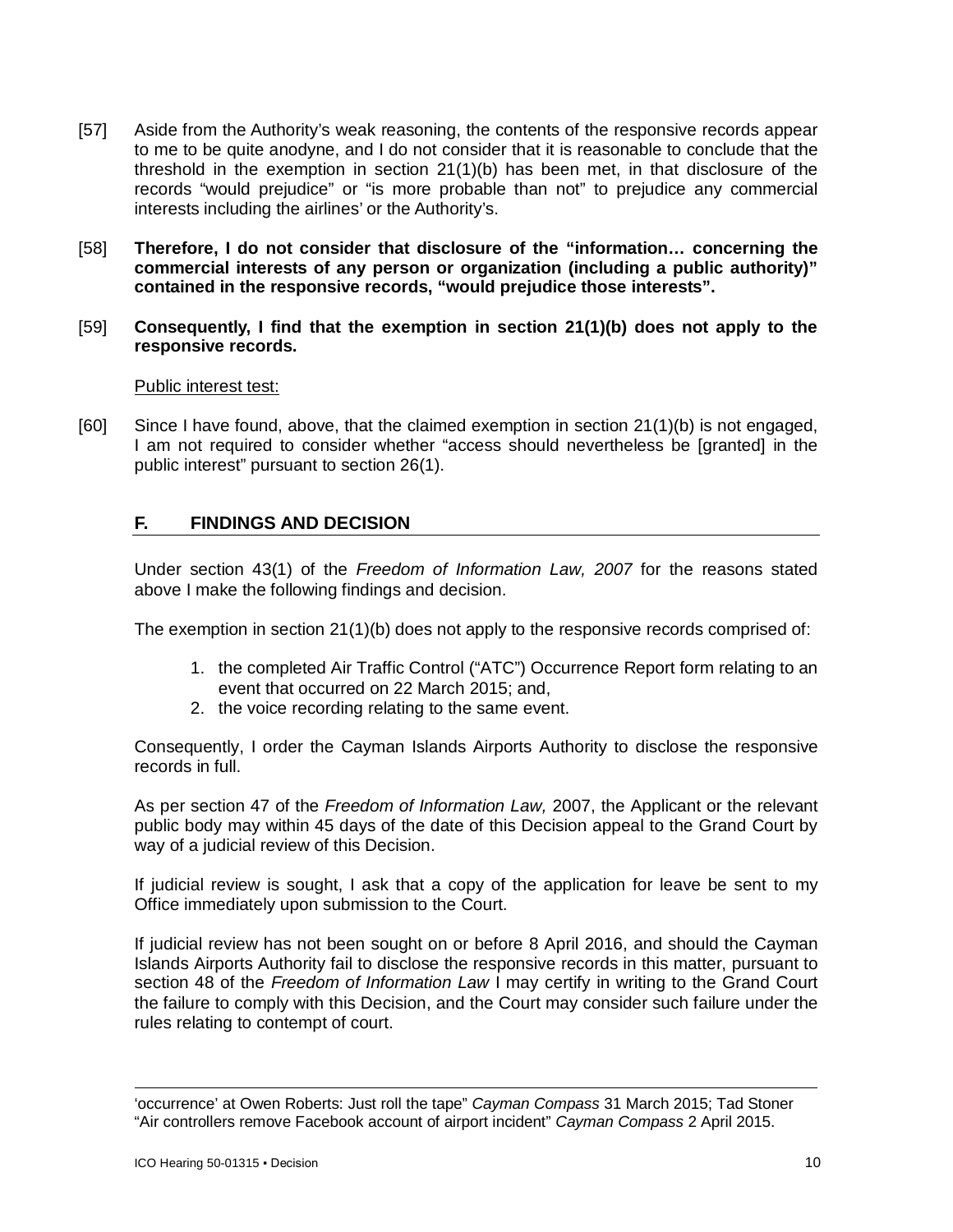- [57] Aside from the Authority's weak reasoning, the contents of the responsive records appear to me to be quite anodyne, and I do not consider that it is reasonable to conclude that the threshold in the exemption in section 21(1)(b) has been met, in that disclosure of the records "would prejudice" or "is more probable than not" to prejudice any commercial interests including the airlines' or the Authority's.
- [58] **Therefore, I do not consider that disclosure of the "information… concerning the commercial interests of any person or organization (including a public authority)" contained in the responsive records, "would prejudice those interests".**
- [59] **Consequently, I find that the exemption in section 21(1)(b) does not apply to the responsive records.**

#### Public interest test:

[60] Since I have found, above, that the claimed exemption in section 21(1)(b) is not engaged, I am not required to consider whether "access should nevertheless be [granted] in the public interest" pursuant to section 26(1).

# **F. FINDINGS AND DECISION**

Under section 43(1) of the *Freedom of Information Law, 2007* for the reasons stated above I make the following findings and decision.

The exemption in section 21(1)(b) does not apply to the responsive records comprised of:

- 1. the completed Air Traffic Control ("ATC") Occurrence Report form relating to an event that occurred on 22 March 2015; and,
- 2. the voice recording relating to the same event.

Consequently, I order the Cayman Islands Airports Authority to disclose the responsive records in full.

As per section 47 of the *Freedom of Information Law,* 2007, the Applicant or the relevant public body may within 45 days of the date of this Decision appeal to the Grand Court by way of a judicial review of this Decision.

If judicial review is sought, I ask that a copy of the application for leave be sent to my Office immediately upon submission to the Court.

If judicial review has not been sought on or before 8 April 2016, and should the Cayman Islands Airports Authority fail to disclose the responsive records in this matter, pursuant to section 48 of the *Freedom of Information Law* I may certify in writing to the Grand Court the failure to comply with this Decision, and the Court may consider such failure under the rules relating to contempt of court.

<sup>-</sup>'occurrence' at Owen Roberts: Just roll the tape" *Cayman Compass* 31 March 2015; Tad Stoner "Air controllers remove Facebook account of airport incident" *Cayman Compass* 2 April 2015.